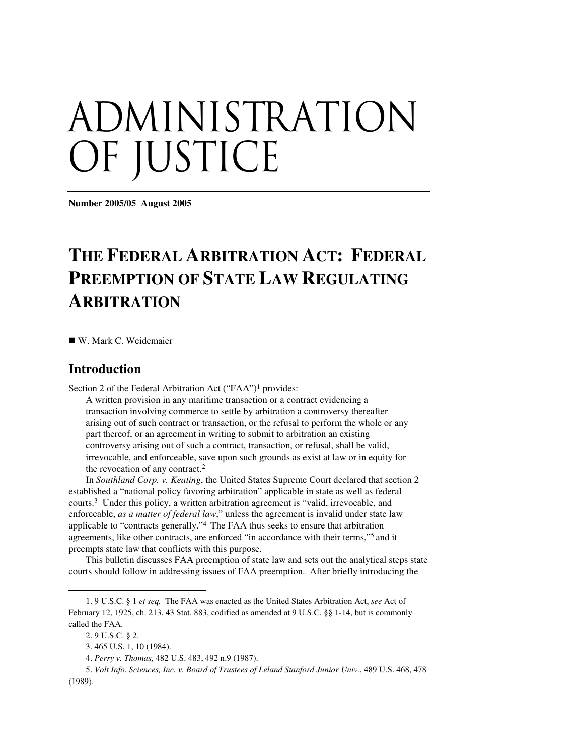# ADMINISTRATION OF JUSTICE

**Number 2005/05 August 2005**

# **THE FEDERAL ARBITRATION ACT: FEDERAL PREEMPTION OF STATE LAW REGULATING ARBITRATION**

W. Mark C. Weidemaier

## **Introduction**

Section 2 of the Federal Arbitration Act ("FAA")<sup>1</sup> provides:

A written provision in any maritime transaction or a contract evidencing a transaction involving commerce to settle by arbitration a controversy thereafter arising out of such contract or transaction, or the refusal to perform the whole or any part thereof, or an agreement in writing to submit to arbitration an existing controversy arising out of such a contract, transaction, or refusal, shall be valid, irrevocable, and enforceable, save upon such grounds as exist at law or in equity for the revocation of any contract. 2

In *Southland Corp. v. Keating*, the United States Supreme Court declared that section 2 established a "national policy favoring arbitration" applicable in state as well as federal courts. <sup>3</sup> Under this policy, a written arbitration agreement is "valid, irrevocable, and enforceable, *as a matter of federal law*," unless the agreement is invalid under state law applicable to "contracts generally." <sup>4</sup> The FAA thus seeks to ensure that arbitration agreements, like other contracts, are enforced "in accordance with their terms," <sup>5</sup> and it preempts state law that conflicts with this purpose.

This bulletin discusses FAA preemption of state law and sets out the analytical steps state courts should follow in addressing issues of FAA preemption. After briefly introducing the

<sup>1.</sup> 9 U.S.C. § 1 *et seq.* The FAA was enacted as the United States Arbitration Act, *see* Act of February 12, 1925, ch. 213, 43 Stat. 883, codified as amended at 9 U.S.C. §§ 1-14, but is commonly called the FAA.

<sup>2.</sup> 9 U.S.C. § 2.

<sup>3.</sup> 465 U.S. 1, 10 (1984).

<sup>4.</sup> *Perry v. Thomas*, 482 U.S. 483, 492 n.9 (1987).

<sup>5.</sup> *Volt Info. Sciences, Inc. v. Board of Trustees of Leland Stanford Junior Univ.*, 489 U.S. 468, 478 (1989).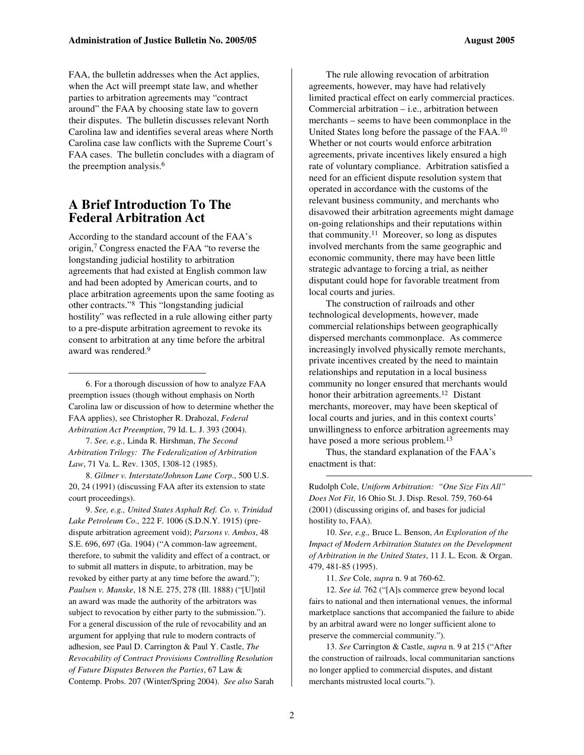FAA, the bulletin addresses when the Act applies, when the Act will preempt state law, and whether parties to arbitration agreements may "contract around" the FAA by choosing state law to govern their disputes. The bulletin discusses relevant North Carolina law and identifies several areas where North Carolina case law conflicts with the Supreme Court's FAA cases. The bulletin concludes with a diagram of the preemption analysis. 6

# **A Brief Introduction To The Federal Arbitration Act**

According to the standard account of the FAA's origin, <sup>7</sup> Congress enacted the FAA "to reverse the longstanding judicial hostility to arbitration agreements that had existed at English common law and had been adopted by American courts, and to place arbitration agreements upon the same footing as other contracts." <sup>8</sup> This "longstanding judicial hostility" was reflected in a rule allowing either party to a pre-dispute arbitration agreement to revoke its consent to arbitration at any time before the arbitral award was rendered. 9

6. For a thorough discussion of how to analyze FAA preemption issues (though without emphasis on North Carolina law or discussion of how to determine whether the FAA applies), see Christopher R. Drahozal, *Federal Arbitration Act Preemption*, 79 Id. L. J. 393 (2004).

7. *See, e.g.,* Linda R. Hirshman, *The Second Arbitration Trilogy: The Federalization of Arbitration Law*, 71 Va. L. Rev. 1305, 1308-12 (1985).

8. *Gilmer v. Interstate/Johnson Lane Corp.*, 500 U.S. 20, 24 (1991) (discussing FAA after its extension to state court proceedings).

9. *See, e.g., United States Asphalt Ref. Co. v. Trinidad Lake Petroleum Co.,* 222 F. 1006 (S.D.N.Y. 1915) (predispute arbitration agreement void); *Parsons v. Ambos*, 48 S.E. 696, 697 (Ga. 1904) ("A common-law agreement, therefore, to submit the validity and effect of a contract, or to submit all matters in dispute, to arbitration, may be revoked by either party at any time before the award."); *Paulsen v. Manske*, 18 N.E. 275, 278 (Ill. 1888) ("[U]ntil an award was made the authority of the arbitrators was subject to revocation by either party to the submission."). For a general discussion of the rule of revocability and an argument for applying that rule to modern contracts of adhesion, see Paul D. Carrington & Paul Y. Castle, *The Revocability of Contract Provisions Controlling Resolution of Future Disputes Between the Parties*, 67 Law & Contemp. Probs. 207 (Winter/Spring 2004). *See also* Sarah

The rule allowing revocation of arbitration agreements, however, may have had relatively limited practical effect on early commercial practices. Commercial arbitration – i.e., arbitration between merchants – seems to have been commonplace in the United States long before the passage of the FAA.<sup>10</sup> Whether or not courts would enforce arbitration agreements, private incentives likely ensured a high rate of voluntary compliance. Arbitration satisfied a need for an efficient dispute resolution system that operated in accordance with the customs of the relevant business community, and merchants who disavowed their arbitration agreements might damage on-going relationships and their reputations within that community. <sup>11</sup> Moreover, so long as disputes involved merchants from the same geographic and economic community, there may have been little strategic advantage to forcing a trial, as neither disputant could hope for favorable treatment from local courts and juries.

The construction of railroads and other technological developments, however, made commercial relationships between geographically dispersed merchants commonplace. As commerce increasingly involved physically remote merchants, private incentives created by the need to maintain relationships and reputation in a local business community no longer ensured that merchants would honor their arbitration agreements.<sup>12</sup> Distant merchants, moreover, may have been skeptical of local courts and juries, and in this context courts' unwillingness to enforce arbitration agreements may have posed a more serious problem.<sup>13</sup>

Thus, the standard explanation of the FAA's enactment is that:

Rudolph Cole, *Uniform Arbitration: "One Size Fits All" Does Not Fit*, 16 Ohio St. J. Disp. Resol. 759, 760-64 (2001) (discussing origins of, and bases for judicial hostility to, FAA).

10. *See, e.g.,* Bruce L. Benson, *An Exploration of the Impact of Modern Arbitration Statutes on the Development of Arbitration in the United States*, 11 J. L. Econ. & Organ. 479, 481-85 (1995).

11. *See* Cole, *supra* n. 9 at 760-62.

12. *See id.* 762 ("[A]s commerce grew beyond local fairs to national and then international venues, the informal marketplace sanctions that accompanied the failure to abide by an arbitral award were no longer sufficient alone to preserve the commercial community.").

13. *See* Carrington & Castle, *supra* n. 9 at 215 ("After the construction of railroads, local communitarian sanctions no longer applied to commercial disputes, and distant merchants mistrusted local courts.").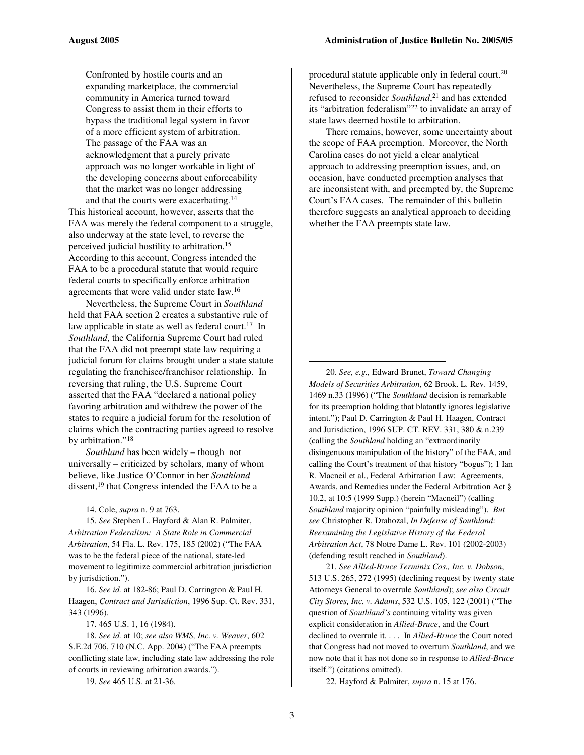Confronted by hostile courts and an expanding marketplace, the commercial community in America turned toward Congress to assist them in their efforts to bypass the traditional legal system in favor of a more efficient system of arbitration. The passage of the FAA was an acknowledgment that a purely private approach was no longer workable in light of the developing concerns about enforceability that the market was no longer addressing and that the courts were exacerbating. 14

This historical account, however, asserts that the FAA was merely the federal component to a struggle, also underway at the state level, to reverse the perceived judicial hostility to arbitration. 15 According to this account, Congress intended the FAA to be a procedural statute that would require federal courts to specifically enforce arbitration agreements that were valid under state law. 16

Nevertheless, the Supreme Court in *Southland* held that FAA section 2 creates a substantive rule of law applicable in state as well as federal court.<sup>17</sup> In *Southland*, the California Supreme Court had ruled that the FAA did not preempt state law requiring a judicial forum for claims brought under a state statute regulating the franchisee/franchisor relationship. In reversing that ruling, the U.S. Supreme Court asserted that the FAA "declared a national policy favoring arbitration and withdrew the power of the states to require a judicial forum for the resolution of claims which the contracting parties agreed to resolve by arbitration."<sup>18</sup>

*Southland* has been widely – though not universally – criticized by scholars, many of whom believe, like Justice O'Connor in her *Southland* dissent,<sup>19</sup> that Congress intended the FAA to be a

14. Cole, *supra* n. 9 at 763.

15. *See* Stephen L. Hayford & Alan R. Palmiter, *Arbitration Federalism: A State Role in Commercial Arbitration*, 54 Fla. L. Rev. 175, 185 (2002) ("The FAA was to be the federal piece of the national, state-led movement to legitimize commercial arbitration jurisdiction by jurisdiction.").

16. *See id.* at 182-86; Paul D. Carrington & Paul H. Haagen, *Contract and Jurisdiction*, 1996 Sup. Ct. Rev. 331, 343 (1996).

17. 465 U.S. 1, 16 (1984).

18. *See id.* at 10; *see also WMS, Inc. v. Weaver*, 602 S.E.2d 706, 710 (N.C. App. 2004) ("The FAA preempts conflicting state law, including state law addressing the role of courts in reviewing arbitration awards.").

19. *See* 465 U.S. at 21-36.

procedural statute applicable only in federal court. 20 Nevertheless, the Supreme Court has repeatedly refused to reconsider *Southland*, <sup>21</sup> and has extended its "arbitration federalism" 22 to invalidate an array of state laws deemed hostile to arbitration.

There remains, however, some uncertainty about the scope of FAA preemption. Moreover, the North Carolina cases do not yield a clear analytical approach to addressing preemption issues, and, on occasion, have conducted preemption analyses that are inconsistent with, and preempted by, the Supreme Court's FAA cases. The remainder of this bulletin therefore suggests an analytical approach to deciding whether the FAA preempts state law.

20. *See, e.g.,* Edward Brunet, *Toward Changing Models of Securities Arbitration*, 62 Brook. L. Rev. 1459, 1469 n.33 (1996) ("The *Southland* decision is remarkable for its preemption holding that blatantly ignores legislative intent."); Paul D. Carrington & Paul H. Haagen, Contract and Jurisdiction, 1996 SUP. CT. REV. 331, 380 & n.239 (calling the *Southland* holding an "extraordinarily disingenuous manipulation of the history" of the FAA, and calling the Court's treatment of that history "bogus"); 1 Ian R. Macneil et al., Federal Arbitration Law: Agreements, Awards, and Remedies under the Federal Arbitration Act § 10.2, at 10:5 (1999 Supp.) (herein "Macneil") (calling *Southland* majority opinion "painfully misleading"). *But see* Christopher R. Drahozal, *In Defense of Southland: Reexamining the Legislative History of the Federal Arbitration Act*, 78 Notre Dame L. Rev. 101 (2002-2003) (defending result reached in *Southland*).

21. *See Allied-Bruce Terminix Cos., Inc. v. Dobson*, 513 U.S. 265, 272 (1995) (declining request by twenty state Attorneys General to overrule *Southland*); *see also Circuit City Stores, Inc. v. Adams*, 532 U.S. 105, 122 (2001) ("The question of *Southland's* continuing vitality was given explicit consideration in *Allied-Bruce*, and the Court declined to overrule it. . . . In *Allied-Bruce* the Court noted that Congress had not moved to overturn *Southland*, and we now note that it has not done so in response to *Allied-Bruce* itself.") (citations omitted).

22. Hayford & Palmiter, *supra* n. 15 at 176.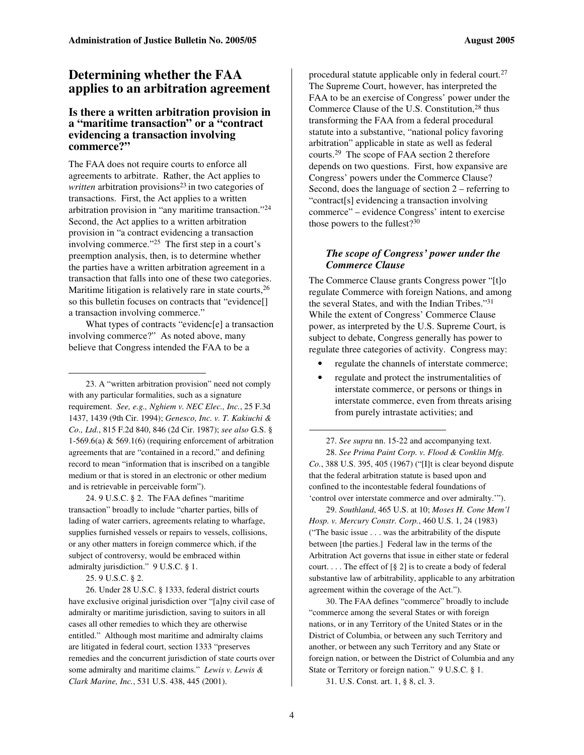# **Determining whether the FAA applies to an arbitration agreement**

#### **Is there a written arbitration provision in a "maritime transaction" or a "contract evidencing a transaction involving commerce?"**

The FAA does not require courts to enforce all agreements to arbitrate. Rather, the Act applies to written arbitration provisions<sup>23</sup> in two categories of transactions. First, the Act applies to a written arbitration provision in "any maritime transaction." 24 Second, the Act applies to a written arbitration provision in "a contract evidencing a transaction involving commerce." <sup>25</sup> The first step in a court's preemption analysis, then, is to determine whether the parties have a written arbitration agreement in a transaction that falls into one of these two categories. Maritime litigation is relatively rare in state courts,<sup>26</sup> so this bulletin focuses on contracts that "evidence[] a transaction involving commerce."

What types of contracts "evidenc[e] a transaction involving commerce?" As noted above, many believe that Congress intended the FAA to be a

23. A "written arbitration provision" need not comply with any particular formalities, such as a signature requirement. *See, e.g., Nghiem v. NEC Elec., Inc.*, 25 F.3d 1437, 1439 (9th Cir. 1994); *Genesco, Inc. v. T. Kakiuchi & Co., Ltd.*, 815 F.2d 840, 846 (2d Cir. 1987); *see also* G.S. § 1-569.6(a) & 569.1(6) (requiring enforcement of arbitration agreements that are "contained in a record," and defining record to mean "information that is inscribed on a tangible medium or that is stored in an electronic or other medium and is retrievable in perceivable form").

24. 9 U.S.C. § 2. The FAA defines "maritime transaction" broadly to include "charter parties, bills of lading of water carriers, agreements relating to wharfage, supplies furnished vessels or repairs to vessels, collisions, or any other matters in foreign commerce which, if the subject of controversy, would be embraced within admiralty jurisdiction." 9 U.S.C. § 1.

25. 9 U.S.C. § 2.

26. Under 28 U.S.C. § 1333, federal district courts have exclusive original jurisdiction over "[a]ny civil case of admiralty or maritime jurisdiction, saving to suitors in all cases all other remedies to which they are otherwise entitled." Although most maritime and admiralty claims are litigated in federal court, section 1333 "preserves remedies and the concurrent jurisdiction of state courts over some admiralty and maritime claims." *Lewis v. Lewis & Clark Marine, Inc.*, 531 U.S. 438, 445 (2001).

procedural statute applicable only in federal court.<sup>27</sup> The Supreme Court, however, has interpreted the FAA to be an exercise of Congress' power under the Commerce Clause of the U.S. Constitution,<sup>28</sup> thus transforming the FAA from a federal procedural statute into a substantive, "national policy favoring arbitration" applicable in state as well as federal courts. <sup>29</sup> The scope of FAA section 2 therefore depends on two questions. First, how expansive are Congress' powers under the Commerce Clause? Second, does the language of section 2 – referring to "contract[s] evidencing a transaction involving commerce" – evidence Congress' intent to exercise those powers to the fullest?<sup>30</sup>

#### *The scope of Congress' power under the Commerce Clause*

The Commerce Clause grants Congress power "[t]o regulate Commerce with foreign Nations, and among the several States, and with the Indian Tribes." 31 While the extent of Congress' Commerce Clause power, as interpreted by the U.S. Supreme Court, is subject to debate, Congress generally has power to regulate three categories of activity. Congress may:

- regulate the channels of interstate commerce;
- regulate and protect the instrumentalities of interstate commerce, or persons or things in interstate commerce, even from threats arising from purely intrastate activities; and

27. *See supra* nn. 15-22 and accompanying text. 28. *See Prima Paint Corp. v. Flood & Conklin Mfg. Co.*, 388 U.S. 395, 405 (1967) ("[I]t is clear beyond dispute that the federal arbitration statute is based upon and confined to the incontestable federal foundations of 'control over interstate commerce and over admiralty.'").

29. *Southland*, 465 U.S. at 10; *Moses H. Cone Mem'l Hosp. v. Mercury Constr. Corp.*, 460 U.S. 1, 24 (1983) ("The basic issue . . . was the arbitrability of the dispute between [the parties.] Federal law in the terms of the Arbitration Act governs that issue in either state or federal court. . . . The effect of [§ 2] is to create a body of federal substantive law of arbitrability, applicable to any arbitration agreement within the coverage of the Act.").

30. The FAA defines "commerce" broadly to include "commerce among the several States or with foreign nations, or in any Territory of the United States or in the District of Columbia, or between any such Territory and another, or between any such Territory and any State or foreign nation, or between the District of Columbia and any State or Territory or foreign nation." 9 U.S.C. § 1.

31. U.S. Const. art. 1, § 8, cl. 3.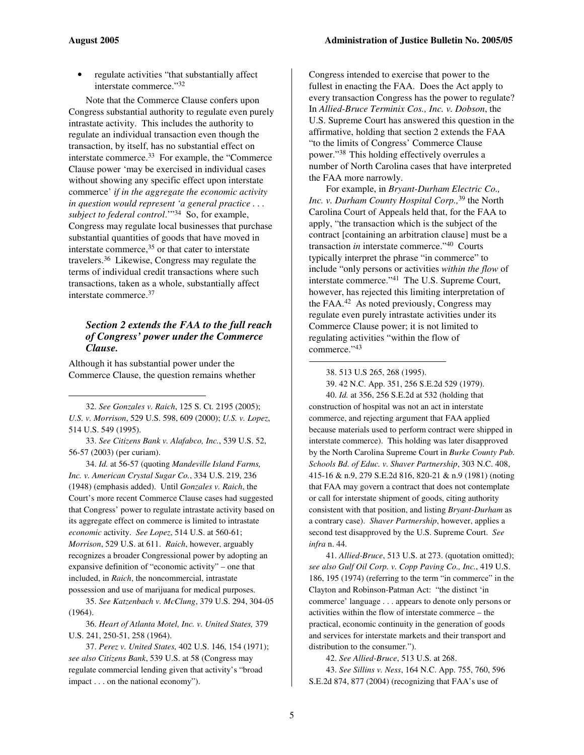regulate activities "that substantially affect interstate commerce." 32

Note that the Commerce Clause confers upon Congress substantial authority to regulate even purely intrastate activity. This includes the authority to regulate an individual transaction even though the transaction, by itself, has no substantial effect on interstate commerce.<sup>33</sup> For example, the "Commerce" Clause power 'may be exercised in individual cases without showing any specific effect upon interstate commerce' *if in the aggregate the economic activity in question would represent 'a general practice . . . subject to federal control*.'" <sup>34</sup> So, for example, Congress may regulate local businesses that purchase substantial quantities of goods that have moved in interstate commerce, <sup>35</sup> or that cater to interstate travelers. <sup>36</sup> Likewise, Congress may regulate the terms of individual credit transactions where such transactions, taken as a whole, substantially affect interstate commerce. 37

#### *Section 2 extends the FAA to the full reach of Congress' power under the Commerce Clause.*

Although it has substantial power under the Commerce Clause, the question remains whether

32. *See Gonzales v. Raich*, 125 S. Ct. 2195 (2005); *U.S. v. Morrison*, 529 U.S. 598, 609 (2000); *U.S. v. Lopez*, 514 U.S. 549 (1995).

33. *See Citizens Bank v. Alafabco, Inc.*, 539 U.S. 52, 56-57 (2003) (per curiam).

34. *Id.* at 56-57 (quoting *Mandeville Island Farms, Inc. v. American Crystal Sugar Co.*, 334 U.S. 219, 236 (1948) (emphasis added). Until *Gonzales v. Raich*, the Court's more recent Commerce Clause cases had suggested that Congress' power to regulate intrastate activity based on its aggregate effect on commerce is limited to intrastate *economic* activity. *See Lopez*, 514 U.S. at 560-61; *Morrison*, 529 U.S. at 611. *Raich*, however, arguably recognizes a broader Congressional power by adopting an expansive definition of "economic activity" – one that included, in *Raich*, the noncommercial, intrastate possession and use of marijuana for medical purposes.

35. *See Katzenbach v. McClung*, 379 U.S. 294, 304-05 (1964).

36. *Heart of Atlanta Motel, Inc. v. United States,* 379 U.S. 241, 250-51, 258 (1964).

37. *Perez v. United States,* 402 U.S. 146, 154 (1971); *see also Citizens Bank*, 539 U.S. at 58 (Congress may regulate commercial lending given that activity's "broad impact . . . on the national economy").

Congress intended to exercise that power to the fullest in enacting the FAA. Does the Act apply to every transaction Congress has the power to regulate? In *Allied-Bruce Terminix Cos., Inc. v. Dobson*, the U.S. Supreme Court has answered this question in the affirmative, holding that section 2 extends the FAA "to the limits of Congress' Commerce Clause power." <sup>38</sup> This holding effectively overrules a number of North Carolina cases that have interpreted the FAA more narrowly.

For example, in *Bryant-Durham Electric Co., Inc. v. Durham County Hospital Corp.,* 39 the North Carolina Court of Appeals held that, for the FAA to apply, "the transaction which is the subject of the contract [containing an arbitration clause] must be a transaction *in* interstate commerce." <sup>40</sup> Courts typically interpret the phrase "in commerce" to include "only persons or activities *within the flow* of interstate commerce." <sup>41</sup> The U.S. Supreme Court, however, has rejected this limiting interpretation of the FAA. <sup>42</sup> As noted previously, Congress may regulate even purely intrastate activities under its Commerce Clause power; it is not limited to regulating activities "within the flow of commerce." 43

38. 513 U.S 265, 268 (1995).

39. 42 N.C. App. 351, 256 S.E.2d 529 (1979).

40. *Id.* at 356, 256 S.E.2d at 532 (holding that construction of hospital was not an act in interstate commerce, and rejecting argument that FAA applied because materials used to perform contract were shipped in interstate commerce). This holding was later disapproved by the North Carolina Supreme Court in *Burke County Pub. Schools Bd. of Educ. v. Shaver Partnership*, 303 N.C. 408, 415-16 & n.9, 279 S.E.2d 816, 820-21 & n.9 (1981) (noting that FAA may govern a contract that does not contemplate or call for interstate shipment of goods, citing authority consistent with that position, and listing *Bryant-Durham* as a contrary case). *Shaver Partnership*, however, applies a second test disapproved by the U.S. Supreme Court. *See infra* n. 44.

41. *Allied-Bruce*, 513 U.S. at 273. (quotation omitted); *see also Gulf Oil Corp. v. Copp Paving Co., Inc.*, 419 U.S. 186, 195 (1974) (referring to the term "in commerce" in the Clayton and Robinson-Patman Act: "the distinct 'in commerce' language . . . appears to denote only persons or activities within the flow of interstate commerce – the practical, economic continuity in the generation of goods and services for interstate markets and their transport and distribution to the consumer.").

42. *See Allied-Bruce*, 513 U.S. at 268.

43. *See Sillins v. Ness*, 164 N.C. App. 755, 760, 596 S.E.2d 874, 877 (2004) (recognizing that FAA's use of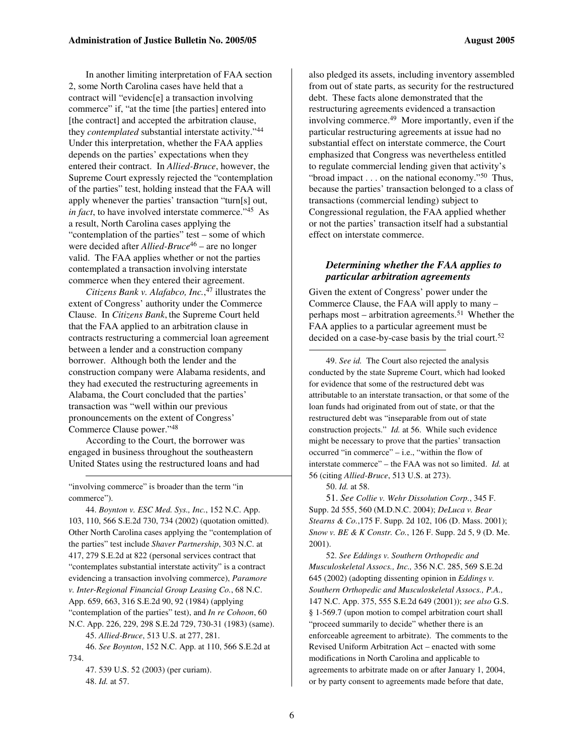In another limiting interpretation of FAA section 2, some North Carolina cases have held that a contract will "evidenc[e] a transaction involving commerce" if, "at the time [the parties] entered into [the contract] and accepted the arbitration clause, they *contemplated* substantial interstate activity." 44 Under this interpretation, whether the FAA applies depends on the parties' expectations when they entered their contract. In *Allied-Bruce*, however, the Supreme Court expressly rejected the "contemplation of the parties" test, holding instead that the FAA will apply whenever the parties' transaction "turn[s] out, *in fact*, to have involved interstate commerce." <sup>45</sup> As a result, North Carolina cases applying the "contemplation of the parties" test – some of which were decided after *Allied-Bruce* <sup>46</sup> – are no longer valid. The FAA applies whether or not the parties contemplated a transaction involving interstate commerce when they entered their agreement.

*Citizens Bank v. Alafabco, Inc.*, 47 illustrates the extent of Congress' authority under the Commerce Clause. In *Citizens Bank*, the Supreme Court held that the FAA applied to an arbitration clause in contracts restructuring a commercial loan agreement between a lender and a construction company borrower. Although both the lender and the construction company were Alabama residents, and they had executed the restructuring agreements in Alabama, the Court concluded that the parties' transaction was "well within our previous pronouncements on the extent of Congress' Commerce Clause power." 48

According to the Court, the borrower was engaged in business throughout the southeastern United States using the restructured loans and had

"involving commerce" is broader than the term "in commerce").

44. *Boynton v. ESC Med. Sys., Inc.*, 152 N.C. App. 103, 110, 566 S.E.2d 730, 734 (2002) (quotation omitted). Other North Carolina cases applying the "contemplation of the parties" test include *Shaver Partnership*, 303 N.C. at 417, 279 S.E.2d at 822 (personal services contract that "contemplates substantial interstate activity" is a contract evidencing a transaction involving commerce), *Paramore v. Inter-Regional Financial Group Leasing Co.*, 68 N.C. App. 659, 663, 316 S.E.2d 90, 92 (1984) (applying "contemplation of the parties" test), and *In re Cohoon*, 60 N.C. App. 226, 229, 298 S.E.2d 729, 730-31 (1983) (same).

45. *Allied-Bruce*, 513 U.S. at 277, 281.

46. *See Boynton*, 152 N.C. App. at 110, 566 S.E.2d at 734.

47. 539 U.S. 52 (2003) (per curiam). 48. *Id.* at 57.

also pledged its assets, including inventory assembled from out of state parts, as security for the restructured debt. These facts alone demonstrated that the restructuring agreements evidenced a transaction involving commerce. <sup>49</sup> More importantly, even if the particular restructuring agreements at issue had no substantial effect on interstate commerce, the Court emphasized that Congress was nevertheless entitled to regulate commercial lending given that activity's "broad impact . . . on the national economy." <sup>50</sup> Thus, because the parties' transaction belonged to a class of transactions (commercial lending) subject to Congressional regulation, the FAA applied whether or not the parties' transaction itself had a substantial effect on interstate commerce.

#### *Determining whether the FAA applies to particular arbitration agreements*

Given the extent of Congress' power under the Commerce Clause, the FAA will apply to many – perhaps most – arbitration agreements. <sup>51</sup> Whether the FAA applies to a particular agreement must be decided on a case-by-case basis by the trial court. 52

49. *See id.* The Court also rejected the analysis conducted by the state Supreme Court, which had looked for evidence that some of the restructured debt was attributable to an interstate transaction, or that some of the loan funds had originated from out of state, or that the restructured debt was "inseparable from out of state construction projects." *Id.* at 56. While such evidence might be necessary to prove that the parties' transaction occurred "in commerce" – i.e., "within the flow of interstate commerce" – the FAA was not so limited. *Id.* at 56 (citing *Allied-Bruce*, 513 U.S. at 273).

50. *Id.* at 58.

51. *See Collie v. Wehr Dissolution Corp.*, 345 F. Supp. 2d 555, 560 (M.D.N.C. 2004); *DeLuca v. Bear Stearns & Co.*,175 F. Supp. 2d 102, 106 (D. Mass. 2001); *Snow v. BE & K Constr. Co.*, 126 F. Supp. 2d 5, 9 (D. Me. 2001).

52. *See Eddings v. Southern Orthopedic and Musculoskeletal Assocs., Inc.,* 356 N.C. 285, 569 S.E.2d 645 (2002) (adopting dissenting opinion in *Eddings v. Southern Orthopedic and Musculoskeletal Assocs., P.A.,* 147 N.C. App. 375, 555 S.E.2d 649 (2001)); *see also* G.S. § 1-569.7 (upon motion to compel arbitration court shall "proceed summarily to decide" whether there is an enforceable agreement to arbitrate). The comments to the Revised Uniform Arbitration Act – enacted with some modifications in North Carolina and applicable to agreements to arbitrate made on or after January 1, 2004, or by party consent to agreements made before that date,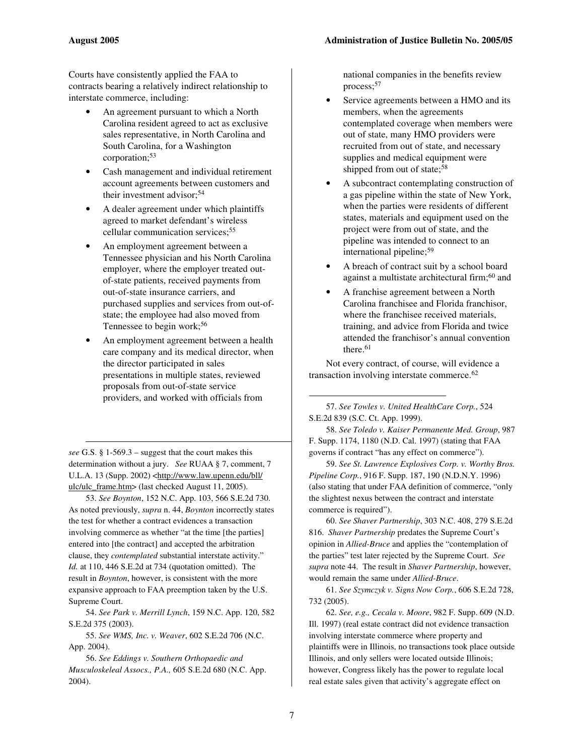Courts have consistently applied the FAA to contracts bearing a relatively indirect relationship to interstate commerce, including:

- An agreement pursuant to which a North Carolina resident agreed to act as exclusive sales representative, in North Carolina and South Carolina, for a Washington corporation; 53
- Cash management and individual retirement account agreements between customers and their investment advisor; 54
- A dealer agreement under which plaintiffs agreed to market defendant's wireless cellular communication services; 55
- An employment agreement between a Tennessee physician and his North Carolina employer, where the employer treated outof-state patients, received payments from out-of-state insurance carriers, and purchased supplies and services from out-ofstate; the employee had also moved from Tennessee to begin work; 56
- An employment agreement between a health care company and its medical director, when the director participated in sales presentations in multiple states, reviewed proposals from out-of-state service providers, and worked with officials from

*see* G.S. § 1-569.3 – suggest that the court makes this determination without a jury. *See* RUAA § 7, comment, 7 U.L.A. 13 (Supp. 2002) <http://www.law.upenn.edu/bll/ ulc/ulc\_frame.htm> (last checked August 11, 2005).

53. *See Boynton*, 152 N.C. App. 103, 566 S.E.2d 730. As noted previously, *supra* n. 44, *Boynton* incorrectly states the test for whether a contract evidences a transaction involving commerce as whether "at the time [the parties] entered into [the contract] and accepted the arbitration clause, they *contemplated* substantial interstate activity." *Id.* at 110, 446 S.E.2d at 734 (quotation omitted). The result in *Boynton*, however, is consistent with the more expansive approach to FAA preemption taken by the U.S. Supreme Court.

54. *See Park v. Merrill Lynch*, 159 N.C. App. 120, 582 S.E.2d 375 (2003).

55. *See WMS, Inc. v. Weaver*, 602 S.E.2d 706 (N.C. App. 2004).

56. *See Eddings v. Southern Orthopaedic and Musculoskeleal Assocs., P.A.,* 605 S.E.2d 680 (N.C. App. 2004).

national companies in the benefits review process; 57

- Service agreements between a HMO and its members, when the agreements contemplated coverage when members were out of state, many HMO providers were recruited from out of state, and necessary supplies and medical equipment were shipped from out of state;<sup>58</sup>
- A subcontract contemplating construction of a gas pipeline within the state of New York, when the parties were residents of different states, materials and equipment used on the project were from out of state, and the pipeline was intended to connect to an international pipeline; 59
- A breach of contract suit by a school board against a multistate architectural firm; <sup>60</sup> and
- A franchise agreement between a North Carolina franchisee and Florida franchisor, where the franchisee received materials, training, and advice from Florida and twice attended the franchisor's annual convention there. 61

Not every contract, of course, will evidence a transaction involving interstate commerce. 62

57. *See Towles v. United HealthCare Corp.*, 524 S.E.2d 839 (S.C. Ct. App. 1999).

58. *See Toledo v. Kaiser Permanente Med. Group*, 987 F. Supp. 1174, 1180 (N.D. Cal. 1997) (stating that FAA governs if contract "has any effect on commerce").

59. *See St. Lawrence Explosives Corp. v. Worthy Bros. Pipeline Corp.*, 916 F. Supp. 187, 190 (N.D.N.Y. 1996) (also stating that under FAA definition of commerce, "only the slightest nexus between the contract and interstate commerce is required").

60. *See Shaver Partnership*, 303 N.C. 408, 279 S.E.2d 816. *Shaver Partnership* predates the Supreme Court's opinion in *Allied-Bruce* and applies the "contemplation of the parties" test later rejected by the Supreme Court. *See supra* note 44. The result in *Shaver Partnership*, however, would remain the same under *Allied-Bruce*.

61. *See Szymczyk v. Signs Now Corp.*, 606 S.E.2d 728, 732 (2005).

62. *See, e.g., Cecala v. Moore*, 982 F. Supp. 609 (N.D. Ill. 1997) (real estate contract did not evidence transaction involving interstate commerce where property and plaintiffs were in Illinois, no transactions took place outside Illinois, and only sellers were located outside Illinois; however, Congress likely has the power to regulate local real estate sales given that activity's aggregate effect on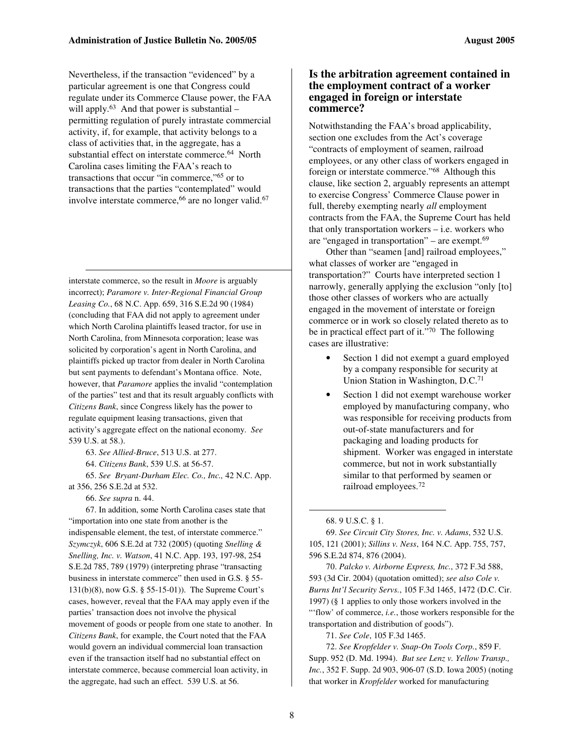Nevertheless, if the transaction "evidenced" by a particular agreement is one that Congress could regulate under its Commerce Clause power, the FAA will apply.<sup>63</sup> And that power is substantial – permitting regulation of purely intrastate commercial activity, if, for example, that activity belongs to a class of activities that, in the aggregate, has a substantial effect on interstate commerce. <sup>64</sup> North Carolina cases limiting the FAA's reach to transactions that occur "in commerce," <sup>65</sup> or to transactions that the parties "contemplated" would involve interstate commerce, <sup>66</sup> are no longer valid. 67

interstate commerce, so the result in *Moore* is arguably incorrect); *Paramore v. Inter-Regional Financial Group Leasing Co.*, 68 N.C. App. 659, 316 S.E.2d 90 (1984) (concluding that FAA did not apply to agreement under which North Carolina plaintiffs leased tractor, for use in North Carolina, from Minnesota corporation; lease was solicited by corporation's agent in North Carolina, and plaintiffs picked up tractor from dealer in North Carolina but sent payments to defendant's Montana office. Note, however, that *Paramore* applies the invalid "contemplation of the parties" test and that its result arguably conflicts with *Citizens Bank*, since Congress likely has the power to regulate equipment leasing transactions, given that activity's aggregate effect on the national economy. *See* 539 U.S. at 58.).

63. *See Allied-Bruce*, 513 U.S. at 277.

64. *Citizens Bank*, 539 U.S. at 56-57.

65. *See Bryant-Durham Elec. Co., Inc.,* 42 N.C. App. at 356, 256 S.E.2d at 532.

66. *See supra* n. 44.

67. In addition, some North Carolina cases state that "importation into one state from another is the indispensable element, the test, of interstate commerce." *Szymczyk*, 606 S.E.2d at 732 (2005) (quoting *Snelling & Snelling, Inc. v. Watson*, 41 N.C. App. 193, 197-98, 254 S.E.2d 785, 789 (1979) (interpreting phrase "transacting business in interstate commerce" then used in G.S. § 55- 131(b)(8), now G.S. § 55-15-01)). The Supreme Court's cases, however, reveal that the FAA may apply even if the parties' transaction does not involve the physical movement of goods or people from one state to another. In *Citizens Bank*, for example, the Court noted that the FAA would govern an individual commercial loan transaction even if the transaction itself had no substantial effect on interstate commerce, because commercial loan activity, in the aggregate, had such an effect. 539 U.S. at 56.

#### **Is the arbitration agreement contained in the employment contract of a worker engaged in foreign or interstate commerce?**

Notwithstanding the FAA's broad applicability, section one excludes from the Act's coverage "contracts of employment of seamen, railroad employees, or any other class of workers engaged in foreign or interstate commerce."<sup>68</sup> Although this clause, like section 2, arguably represents an attempt to exercise Congress' Commerce Clause power in full, thereby exempting nearly *all* employment contracts from the FAA, the Supreme Court has held that only transportation workers – i.e. workers who are "engaged in transportation" – are exempt. 69

Other than "seamen [and] railroad employees," what classes of worker are "engaged in transportation?" Courts have interpreted section 1 narrowly, generally applying the exclusion "only [to] those other classes of workers who are actually engaged in the movement of interstate or foreign commerce or in work so closely related thereto as to be in practical effect part of it." <sup>70</sup> The following cases are illustrative:

- Section 1 did not exempt a guard employed by a company responsible for security at Union Station in Washington, D.C. 71
- Section 1 did not exempt warehouse worker employed by manufacturing company, who was responsible for receiving products from out-of-state manufacturers and for packaging and loading products for shipment. Worker was engaged in interstate commerce, but not in work substantially similar to that performed by seamen or railroad employees. 72

70. *Palcko v. Airborne Express, Inc.*, 372 F.3d 588, 593 (3d Cir. 2004) (quotation omitted); *see also Cole v. Burns Int'l Security Servs.*, 105 F.3d 1465, 1472 (D.C. Cir. 1997) (§ 1 applies to only those workers involved in the "'flow' of commerce, *i.e.*, those workers responsible for the transportation and distribution of goods").

71. *See Cole*, 105 F.3d 1465.

72. *See Kropfelder v. Snap-On Tools Corp.*, 859 F. Supp. 952 (D. Md. 1994). *But see Lenz v. Yellow Transp., Inc.*, 352 F. Supp. 2d 903, 906-07 (S.D. Iowa 2005) (noting that worker in *Kropfelder* worked for manufacturing

<sup>68.</sup> 9 U.S.C. § 1.

<sup>69.</sup> *See Circuit City Stores, Inc. v. Adams*, 532 U.S. 105, 121 (2001); *Sillins v. Ness*, 164 N.C. App. 755, 757, 596 S.E.2d 874, 876 (2004).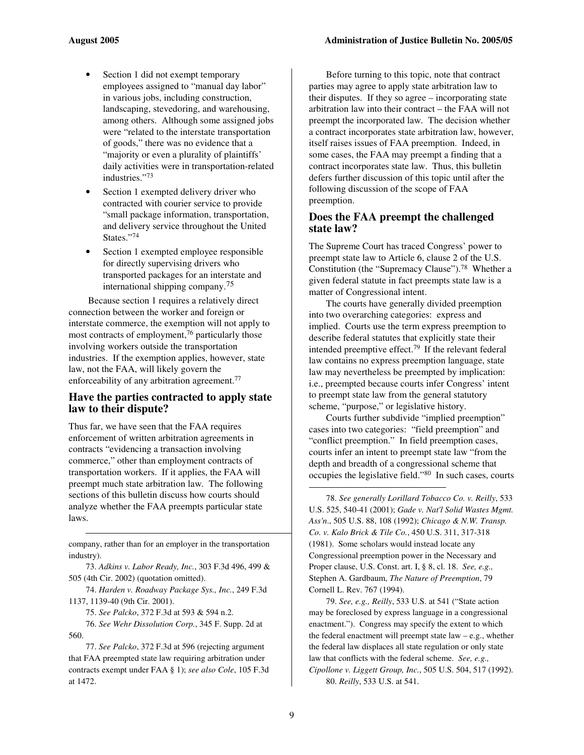- Section 1 did not exempt temporary employees assigned to "manual day labor" in various jobs, including construction, landscaping, stevedoring, and warehousing, among others. Although some assigned jobs were "related to the interstate transportation of goods," there was no evidence that a "majority or even a plurality of plaintiffs' daily activities were in transportation-related industries." 73
- Section 1 exempted delivery driver who contracted with courier service to provide "small package information, transportation, and delivery service throughout the United States." 74
- Section 1 exempted employee responsible for directly supervising drivers who transported packages for an interstate and international shipping company. 75

Because section 1 requires a relatively direct connection between the worker and foreign or interstate commerce, the exemption will not apply to most contracts of employment, <sup>76</sup> particularly those involving workers outside the transportation industries. If the exemption applies, however, state law, not the FAA, will likely govern the enforceability of any arbitration agreement.<sup>77</sup>

#### **Have the parties contracted to apply state law to their dispute?**

Thus far, we have seen that the FAA requires enforcement of written arbitration agreements in contracts "evidencing a transaction involving commerce," other than employment contracts of transportation workers. If it applies, the FAA will preempt much state arbitration law. The following sections of this bulletin discuss how courts should analyze whether the FAA preempts particular state laws.

company, rather than for an employer in the transportation industry).

73. *Adkins v. Labor Ready, Inc.*, 303 F.3d 496, 499 & 505 (4th Cir. 2002) (quotation omitted).

74. *Harden v. Roadway Package Sys., Inc.*, 249 F.3d 1137, 1139-40 (9th Cir. 2001).

75. *See Palcko*, 372 F.3d at 593 & 594 n.2.

76. *See Wehr Dissolution Corp.*, 345 F. Supp. 2d at 560.

77. *See Palcko*, 372 F.3d at 596 (rejecting argument that FAA preempted state law requiring arbitration under contracts exempt under FAA § 1); *see also Cole*, 105 F.3d at 1472.

Before turning to this topic, note that contract parties may agree to apply state arbitration law to their disputes. If they so agree – incorporating state arbitration law into their contract – the FAA will not preempt the incorporated law. The decision whether a contract incorporates state arbitration law, however, itself raises issues of FAA preemption. Indeed, in some cases, the FAA may preempt a finding that a contract incorporates state law. Thus, this bulletin defers further discussion of this topic until after the following discussion of the scope of FAA preemption.

#### **Does the FAA preempt the challenged state law?**

The Supreme Court has traced Congress' power to preempt state law to Article 6, clause 2 of the U.S. Constitution (the "Supremacy Clause"). <sup>78</sup> Whether a given federal statute in fact preempts state law is a matter of Congressional intent.

The courts have generally divided preemption into two overarching categories: express and implied. Courts use the term express preemption to describe federal statutes that explicitly state their intended preemptive effect. 79 If the relevant federal law contains no express preemption language, state law may nevertheless be preempted by implication: i.e., preempted because courts infer Congress' intent to preempt state law from the general statutory scheme, "purpose," or legislative history.

Courts further subdivide "implied preemption" cases into two categories: "field preemption" and "conflict preemption." In field preemption cases, courts infer an intent to preempt state law "from the depth and breadth of a congressional scheme that occupies the legislative field." 80 In such cases, courts

78. *See generally Lorillard Tobacco Co. v. Reilly*, 533 U.S. 525, 540-41 (2001); *Gade v. Nat'l Solid Wastes Mgmt. Ass'n*., 505 U.S. 88, 108 (1992); *Chicago & N.W. Transp. Co. v. Kalo Brick & Tile Co.*, 450 U.S. 311, 317-318 (1981). Some scholars would instead locate any Congressional preemption power in the Necessary and Proper clause, U.S. Const. art. I, § 8, cl. 18. *See, e.g.,* Stephen A. Gardbaum, *The Nature of Preemption*, 79 Cornell L. Rev. 767 (1994).

79. *See, e.g., Reilly*, 533 U.S. at 541 ("State action may be foreclosed by express language in a congressional enactment."). Congress may specify the extent to which the federal enactment will preempt state law – e.g., whether the federal law displaces all state regulation or only state law that conflicts with the federal scheme. *See, e.g., Cipollone v. Liggett Group, Inc.*, 505 U.S. 504, 517 (1992). 80. *Reilly*, 533 U.S. at 541.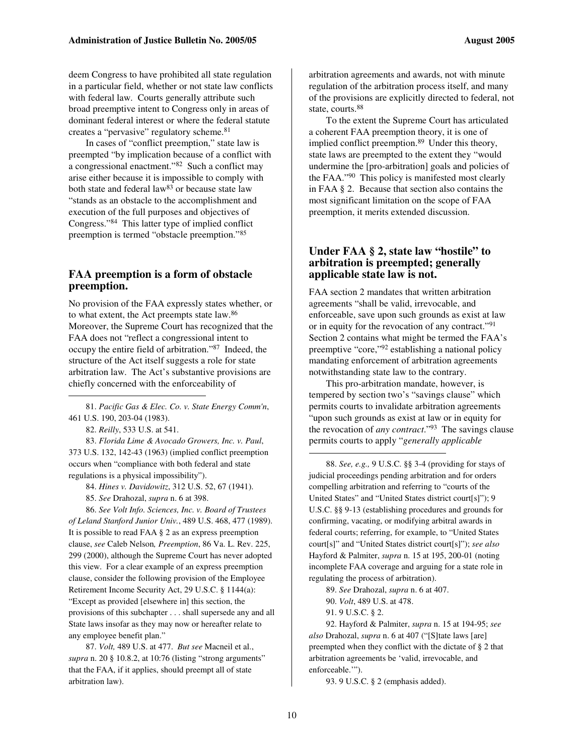deem Congress to have prohibited all state regulation in a particular field, whether or not state law conflicts with federal law. Courts generally attribute such broad preemptive intent to Congress only in areas of dominant federal interest or where the federal statute creates a "pervasive" regulatory scheme.<sup>81</sup>

In cases of "conflict preemption," state law is preempted "by implication because of a conflict with a congressional enactment." <sup>82</sup> Such a conflict may arise either because it is impossible to comply with both state and federal  $law<sup>83</sup>$  or because state law "stands as an obstacle to the accomplishment and execution of the full purposes and objectives of Congress." <sup>84</sup> This latter type of implied conflict preemption is termed "obstacle preemption." 85

#### **FAA preemption is a form of obstacle preemption.**

No provision of the FAA expressly states whether, or to what extent, the Act preempts state law. 86 Moreover, the Supreme Court has recognized that the FAA does not "reflect a congressional intent to occupy the entire field of arbitration." 87 Indeed, the structure of the Act itself suggests a role for state arbitration law. The Act's substantive provisions are chiefly concerned with the enforceability of

81. *Pacific Gas & Elec. Co. v. State Energy Comm'n*, 461 U.S. 190, 203-04 (1983).

82. *Reilly*, 533 U.S. at 541.

83. *Florida Lime & Avocado Growers, Inc. v. Paul*, 373 U.S. 132, 142-43 (1963) (implied conflict preemption occurs when "compliance with both federal and state regulations is a physical impossibility").

84. *Hines v. Davidowitz*, 312 U.S. 52, 67 (1941).

85. *See* Drahozal, *supra* n. 6 at 398.

86. *See Volt Info. Sciences, Inc. v. Board of Trustees of Leland Stanford Junior Univ.*, 489 U.S. 468, 477 (1989). It is possible to read FAA § 2 as an express preemption clause, *see* Caleb Nelson*, Preemption*, 86 Va. L. Rev. 225, 299 (2000), although the Supreme Court has never adopted this view. For a clear example of an express preemption clause, consider the following provision of the Employee Retirement Income Security Act, 29 U.S.C. § 1144(a): "Except as provided [elsewhere in] this section, the provisions of this subchapter . . . shall supersede any and all State laws insofar as they may now or hereafter relate to any employee benefit plan."

87. *Volt,* 489 U.S. at 477. *But see* Macneil et al., *supra* n. 20 § 10.8.2, at 10:76 (listing "strong arguments" that the FAA, if it applies, should preempt all of state arbitration law).

arbitration agreements and awards, not with minute regulation of the arbitration process itself, and many of the provisions are explicitly directed to federal, not state, courts. 88

To the extent the Supreme Court has articulated a coherent FAA preemption theory, it is one of implied conflict preemption. <sup>89</sup> Under this theory, state laws are preempted to the extent they "would undermine the [pro-arbitration] goals and policies of the FAA." <sup>90</sup> This policy is manifested most clearly in FAA § 2. Because that section also contains the most significant limitation on the scope of FAA preemption, it merits extended discussion.

#### **Under FAA § 2, state law "hostile" to arbitration is preempted; generally applicable state law is not.**

FAA section 2 mandates that written arbitration agreements "shall be valid, irrevocable, and enforceable, save upon such grounds as exist at law or in equity for the revocation of any contract."<sup>91</sup> Section 2 contains what might be termed the FAA's preemptive "core,"<sup>92</sup> establishing a national policy mandating enforcement of arbitration agreements notwithstanding state law to the contrary.

This pro-arbitration mandate, however, is tempered by section two's "savings clause" which permits courts to invalidate arbitration agreements "upon such grounds as exist at law or in equity for the revocation of *any contract*." <sup>93</sup> The savings clause permits courts to apply "*generally applicable*

88. *See, e.g.,* 9 U.S.C. §§ 3-4 (providing for stays of judicial proceedings pending arbitration and for orders compelling arbitration and referring to "courts of the United States" and "United States district court[s]"); 9 U.S.C. §§ 9-13 (establishing procedures and grounds for confirming, vacating, or modifying arbitral awards in federal courts; referring, for example, to "United States court[s]" and "United States district court[s]"); *see also* Hayford & Palmiter, *supra* n. 15 at 195, 200-01 (noting incomplete FAA coverage and arguing for a state role in regulating the process of arbitration).

89. *See* Drahozal, *supra* n. 6 at 407.

90. *Volt*, 489 U.S. at 478.

91. 9 U.S.C. § 2.

92. Hayford & Palmiter, *supra* n. 15 at 194-95; *see also* Drahozal, *supra* n. 6 at 407 ("[S]tate laws [are] preempted when they conflict with the dictate of § 2 that arbitration agreements be 'valid, irrevocable, and enforceable.'").

93. 9 U.S.C. § 2 (emphasis added).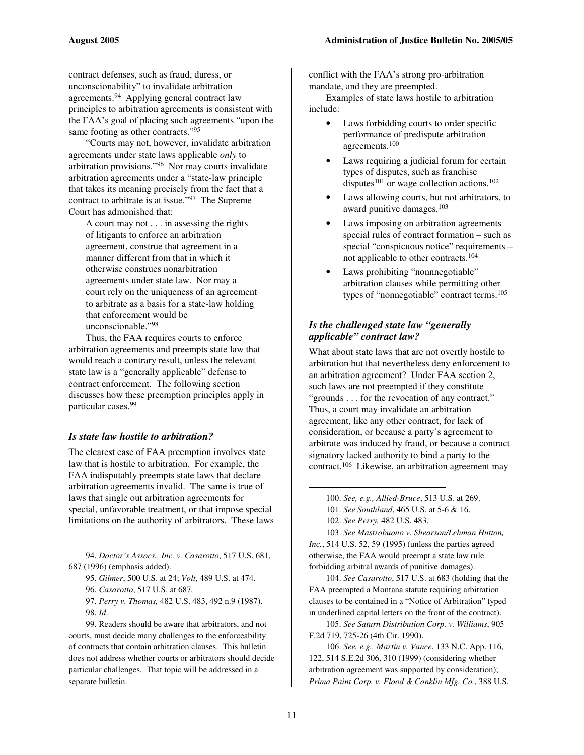contract defenses, such as fraud, duress, or unconscionability" to invalidate arbitration agreements. <sup>94</sup> Applying general contract law principles to arbitration agreements is consistent with the FAA's goal of placing such agreements "upon the same footing as other contracts."<sup>95</sup>

"Courts may not, however, invalidate arbitration agreements under state laws applicable *only* to arbitration provisions." <sup>96</sup> Nor may courts invalidate arbitration agreements under a "state-law principle that takes its meaning precisely from the fact that a contract to arbitrate is at issue." <sup>97</sup> The Supreme Court has admonished that:

A court may not . . . in assessing the rights of litigants to enforce an arbitration agreement, construe that agreement in a manner different from that in which it otherwise construes nonarbitration agreements under state law. Nor may a court rely on the uniqueness of an agreement to arbitrate as a basis for a state-law holding that enforcement would be unconscionable." 98

Thus, the FAA requires courts to enforce arbitration agreements and preempts state law that would reach a contrary result, unless the relevant state law is a "generally applicable" defense to contract enforcement. The following section discusses how these preemption principles apply in particular cases. 99

#### *Is state law hostile to arbitration?*

The clearest case of FAA preemption involves state law that is hostile to arbitration. For example, the FAA indisputably preempts state laws that declare arbitration agreements invalid. The same is true of laws that single out arbitration agreements for special, unfavorable treatment, or that impose special limitations on the authority of arbitrators. These laws

94. *Doctor's Assocs., Inc. v. Casarotto*, 517 U.S. 681, 687 (1996) (emphasis added).

95. *Gilmer*, 500 U.S. at 24; *Volt*, 489 U.S. at 474.

96. *Casarotto*, 517 U.S. at 687*.*

97. *Perry v. Thomas,* 482 U.S. 483, 492 n.9 (1987). 98. *Id*.

99. Readers should be aware that arbitrators, and not courts, must decide many challenges to the enforceability of contracts that contain arbitration clauses. This bulletin does not address whether courts or arbitrators should decide particular challenges. That topic will be addressed in a separate bulletin.

conflict with the FAA's strong pro-arbitration mandate, and they are preempted.

Examples of state laws hostile to arbitration include:

- Laws forbidding courts to order specific performance of predispute arbitration agreements. 100
- Laws requiring a judicial forum for certain types of disputes, such as franchise disputes<sup>101</sup> or wage collection actions.<sup>102</sup>
- Laws allowing courts, but not arbitrators, to award punitive damages. 103
- Laws imposing on arbitration agreements special rules of contract formation – such as special "conspicuous notice" requirements – not applicable to other contracts. 104
- Laws prohibiting "nonnnegotiable" arbitration clauses while permitting other types of "nonnegotiable" contract terms. 105

#### *Is the challenged state law "generally applicable" contract law?*

What about state laws that are not overtly hostile to arbitration but that nevertheless deny enforcement to an arbitration agreement? Under FAA section 2, such laws are not preempted if they constitute "grounds . . . for the revocation of any contract." Thus, a court may invalidate an arbitration agreement, like any other contract, for lack of consideration, or because a party's agreement to arbitrate was induced by fraud, or because a contract signatory lacked authority to bind a party to the contract. <sup>106</sup> Likewise, an arbitration agreement may

103. *See Mastrobuono v. Shearson/Lehman Hutton, Inc.*, 514 U.S. 52, 59 (1995) (unless the parties agreed otherwise, the FAA would preempt a state law rule forbidding arbitral awards of punitive damages).

104. *See Casarotto*, 517 U.S. at 683 (holding that the FAA preempted a Montana statute requiring arbitration clauses to be contained in a "Notice of Arbitration" typed in underlined capital letters on the front of the contract).

105. *See Saturn Distribution Corp. v. Williams*, 905 F.2d 719, 725-26 (4th Cir. 1990).

106. *See, e.g., Martin v. Vance*, 133 N.C. App. 116, 122, 514 S.E.2d 306, 310 (1999) (considering whether arbitration agreement was supported by consideration); *Prima Paint Corp. v. Flood & Conklin Mfg. Co.*, 388 U.S.

<sup>100.</sup> *See, e.g., Allied-Bruce*, 513 U.S. at 269.

<sup>101.</sup> *See Southland*, 465 U.S. at 5-6 & 16.

<sup>102.</sup> *See Perry,* 482 U.S. 483.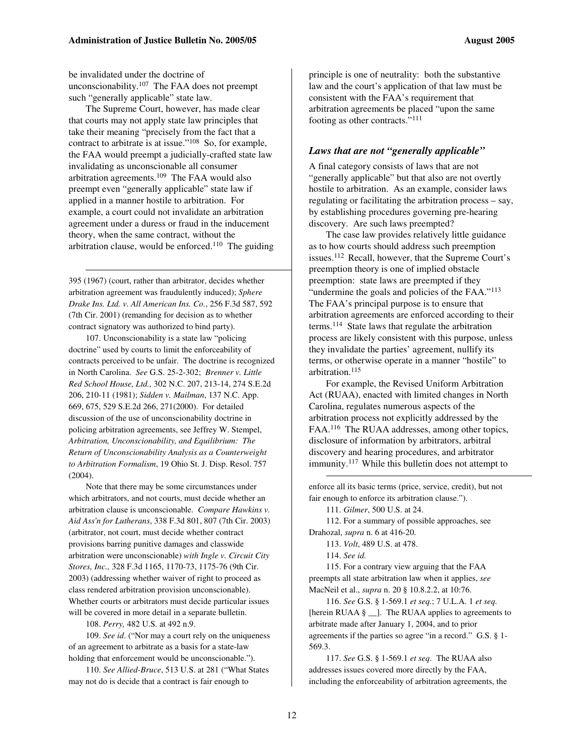be invalidated under the doctrine of unconscionability.<sup>107</sup> The FAA does not preempt such "generally applicable" state law.

The Supreme Court, however, has made clear that courts may not apply state law principles that take their meaning "precisely from the fact that a contract to arbitrate is at issue." <sup>108</sup> So, for example, the FAA would preempt a judicially-crafted state law invalidating as unconscionable all consumer arbitration agreements. <sup>109</sup> The FAA would also preempt even "generally applicable" state law if applied in a manner hostile to arbitration. For example, a court could not invalidate an arbitration agreement under a duress or fraud in the inducement theory, when the same contract, without the arbitration clause, would be enforced. <sup>110</sup> The guiding

395 (1967) (court, rather than arbitrator, decides whether arbitration agreement was fraudulently induced); *Sphere Drake Ins. Ltd. v. All American Ins. Co.*, 256 F.3d 587, 592 (7th Cir. 2001) (remanding for decision as to whether contract signatory was authorized to bind party).

107. Unconscionability is a state law "policing doctrine" used by courts to limit the enforceability of contracts perceived to be unfair. The doctrine is recognized in North Carolina. *See* G.S. 25-2-302; *Brenner v. Little Red School House, Ltd.,* 302 N.C. 207, 213-14, 274 S.E.2d 206, 210-11 (1981); *Sidden v. Mailman*, 137 N.C. App. 669, 675, 529 S.E.2d 266, 271(2000). For detailed discussion of the use of unconscionability doctrine in policing arbitration agreements, see Jeffrey W. Stempel, *Arbitration, Unconscionability, and Equilibrium: The Return of Unconscionability Analysis as a Counterweight to Arbitration Formalism*, 19 Ohio St. J. Disp. Resol. 757 (2004).

Note that there may be some circumstances under which arbitrators, and not courts, must decide whether an arbitration clause is unconscionable. *Compare Hawkins v. Aid Ass'n for Lutherans*, 338 F.3d 801, 807 (7th Cir. 2003) (arbitrator, not court, must decide whether contract provisions barring punitive damages and classwide arbitration were unconscionable) *with Ingle v. Circuit City Stores, Inc.,* 328 F.3d 1165, 1170-73, 1175-76 (9th Cir. 2003) (addressing whether waiver of right to proceed as class rendered arbitration provision unconscionable). Whether courts or arbitrators must decide particular issues will be covered in more detail in a separate bulletin.

108. *Perry,* 482 U.S. at 492 n.9.

109. *See id*. ("Nor may a court rely on the uniqueness of an agreement to arbitrate as a basis for a state-law holding that enforcement would be unconscionable.").

110. *See Allied-Bruce*, 513 U.S. at 281 ("What States may not do is decide that a contract is fair enough to

principle is one of neutrality: both the substantive law and the court's application of that law must be consistent with the FAA's requirement that arbitration agreements be placed "upon the same footing as other contracts."<sup>111</sup>

#### *Laws that are not "generally applicable"*

A final category consists of laws that are not "generally applicable" but that also are not overtly hostile to arbitration. As an example, consider laws regulating or facilitating the arbitration process – say, by establishing procedures governing pre-hearing discovery. Are such laws preempted?

The case law provides relatively little guidance as to how courts should address such preemption issues. <sup>112</sup> Recall, however, that the Supreme Court's preemption theory is one of implied obstacle preemption: state laws are preempted if they "undermine the goals and policies of the FAA."<sup>113</sup> The FAA's principal purpose is to ensure that arbitration agreements are enforced according to their terms. <sup>114</sup> State laws that regulate the arbitration process are likely consistent with this purpose, unless they invalidate the parties' agreement, nullify its terms, or otherwise operate in a manner "hostile" to arbitration. 115

For example, the Revised Uniform Arbitration Act (RUAA), enacted with limited changes in North Carolina, regulates numerous aspects of the arbitration process not explicitly addressed by the FAA.<sup>116</sup> The RUAA addresses, among other topics, disclosure of information by arbitrators, arbitral discovery and hearing procedures, and arbitrator immunity.<sup>117</sup> While this bulletin does not attempt to

enforce all its basic terms (price, service, credit), but not fair enough to enforce its arbitration clause.").

111. *Gilmer*, 500 U.S. at 24.

112. For a summary of possible approaches, see Drahozal, *supra* n. 6 at 416-20.

113. *Volt*, 489 U.S. at 478.

114. *See id.*

115. For a contrary view arguing that the FAA preempts all state arbitration law when it applies, *see* MacNeil et al., *supra* n. 20 § 10.8.2.2, at 10:76.

116. *See* G.S. § 1-569.1 *et seq.*; 7 U.L.A. 1 *et seq.* [herein RUAA § \_]. The RUAA applies to agreements to arbitrate made after January 1, 2004, and to prior agreements if the parties so agree "in a record." G.S. § 1- 569.3.

117. *See* G.S. § 1-569.1 *et seq*. The RUAA also addresses issues covered more directly by the FAA, including the enforceability of arbitration agreements, the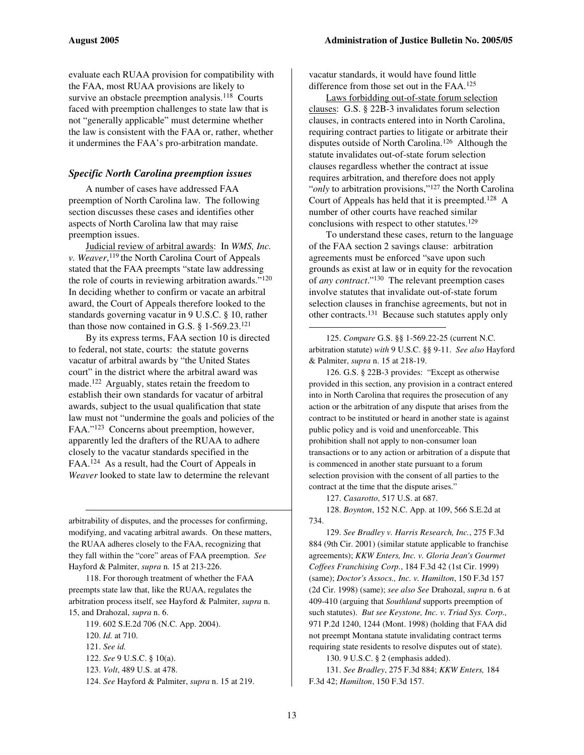evaluate each RUAA provision for compatibility with the FAA, most RUAA provisions are likely to survive an obstacle preemption analysis.<sup>118</sup> Courts faced with preemption challenges to state law that is not "generally applicable" must determine whether the law is consistent with the FAA or, rather, whether it undermines the FAA's pro-arbitration mandate.

#### *Specific North Carolina preemption issues*

A number of cases have addressed FAA preemption of North Carolina law. The following section discusses these cases and identifies other aspects of North Carolina law that may raise preemption issues.

Judicial review of arbitral awards: In *WMS, Inc. v. Weaver*, 119 the North Carolina Court of Appeals stated that the FAA preempts "state law addressing the role of courts in reviewing arbitration awards." 120 In deciding whether to confirm or vacate an arbitral award, the Court of Appeals therefore looked to the standards governing vacatur in 9 U.S.C. § 10, rather than those now contained in G.S.  $\S$  1-569.23.<sup>121</sup>

By its express terms, FAA section 10 is directed to federal, not state, courts: the statute governs vacatur of arbitral awards by "the United States court" in the district where the arbitral award was made. <sup>122</sup> Arguably, states retain the freedom to establish their own standards for vacatur of arbitral awards, subject to the usual qualification that state law must not "undermine the goals and policies of the FAA." <sup>123</sup> Concerns about preemption, however, apparently led the drafters of the RUAA to adhere closely to the vacatur standards specified in the FAA.<sup>124</sup> As a result, had the Court of Appeals in *Weaver* looked to state law to determine the relevant

arbitrability of disputes, and the processes for confirming, modifying, and vacating arbitral awards. On these matters, the RUAA adheres closely to the FAA, recognizing that they fall within the "core" areas of FAA preemption. *See* Hayford & Palmiter, *supra* n. 15 at 213-226.

118. For thorough treatment of whether the FAA preempts state law that, like the RUAA, regulates the arbitration process itself, see Hayford & Palmiter, *supra* n. 15, and Drahozal, *supra* n. 6.

119. 602 S.E.2d 706 (N.C. App. 2004).

121. *See id.*

- 123. *Volt*, 489 U.S. at 478.
- 124. *See* Hayford & Palmiter, *supra* n. 15 at 219.

vacatur standards, it would have found little difference from those set out in the FAA. 125

Laws forbidding out-of-state forum selection clauses: G.S. § 22B-3 invalidates forum selection clauses, in contracts entered into in North Carolina, requiring contract parties to litigate or arbitrate their disputes outside of North Carolina. <sup>126</sup> Although the statute invalidates out-of-state forum selection clauses regardless whether the contract at issue requires arbitration, and therefore does not apply "only to arbitration provisions,"<sup>127</sup> the North Carolina Court of Appeals has held that it is preempted. <sup>128</sup> A number of other courts have reached similar conclusions with respect to other statutes. 129

To understand these cases, return to the language of the FAA section 2 savings clause: arbitration agreements must be enforced "save upon such grounds as exist at law or in equity for the revocation of *any contract*." <sup>130</sup> The relevant preemption cases involve statutes that invalidate out-of-state forum selection clauses in franchise agreements, but not in other contracts.<sup>131</sup> Because such statutes apply only

125. *Compare* G.S. §§ 1-569.22-25 (current N.C. arbitration statute) *with* 9 U.S.C. §§ 9-11. *See also* Hayford & Palmiter, *supra* n. 15 at 218-19.

126. G.S. § 22B-3 provides: "Except as otherwise provided in this section, any provision in a contract entered into in North Carolina that requires the prosecution of any action or the arbitration of any dispute that arises from the contract to be instituted or heard in another state is against public policy and is void and unenforceable. This prohibition shall not apply to non-consumer loan transactions or to any action or arbitration of a dispute that is commenced in another state pursuant to a forum selection provision with the consent of all parties to the contract at the time that the dispute arises."

127. *Casarotto*, 517 U.S. at 687.

128. *Boynton*, 152 N.C. App. at 109, 566 S.E.2d at 734.

129. *See Bradley v. Harris Research, Inc.*, 275 F.3d 884 (9th Cir. 2001) (similar statute applicable to franchise agreements); *KKW Enters, Inc. v. Gloria Jean's Gourmet Coffees Franchising Corp.*, 184 F.3d 42 (1st Cir. 1999) (same); *Doctor's Assocs., Inc. v. Hamilton*, 150 F.3d 157 (2d Cir. 1998) (same); *see also See* Drahozal, *supra* n. 6 at 409-410 (arguing that *Southland* supports preemption of such statutes). *But see Keystone, Inc. v. Triad Sys. Corp.,* 971 P.2d 1240, 1244 (Mont. 1998) (holding that FAA did not preempt Montana statute invalidating contract terms requiring state residents to resolve disputes out of state).

130. 9 U.S.C. § 2 (emphasis added).

131. *See Bradley*, 275 F.3d 884; *KKW Enters,* 184 F.3d 42; *Hamilton*, 150 F.3d 157.

<sup>120.</sup> *Id.* at 710.

<sup>122.</sup> *See* 9 U.S.C. § 10(a).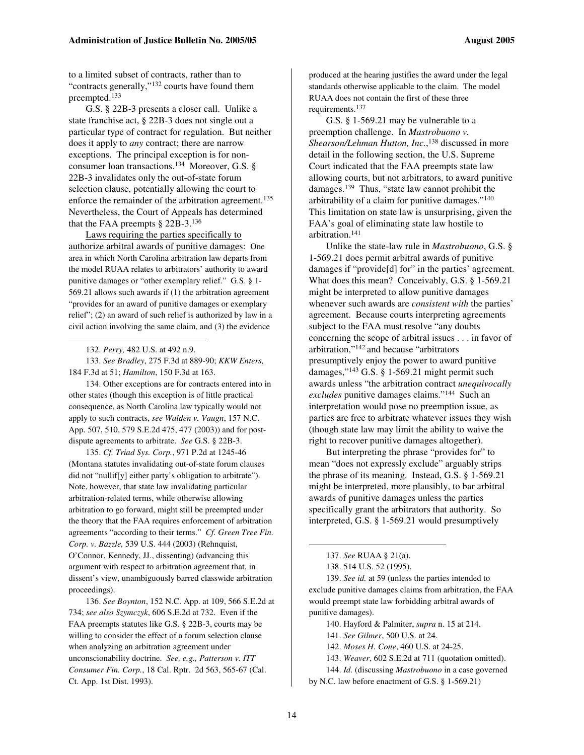to a limited subset of contracts, rather than to "contracts generally,"<sup>132</sup> courts have found them preempted. 133

G.S. § 22B-3 presents a closer call. Unlike a state franchise act, § 22B-3 does not single out a particular type of contract for regulation. But neither does it apply to *any* contract; there are narrow exceptions. The principal exception is for nonconsumer loan transactions. <sup>134</sup> Moreover, G.S. § 22B-3 invalidates only the out-of-state forum selection clause, potentially allowing the court to enforce the remainder of the arbitration agreement.<sup>135</sup> Nevertheless, the Court of Appeals has determined that the FAA preempts § 22B-3. 136

Laws requiring the parties specifically to authorize arbitral awards of punitive damages: One area in which North Carolina arbitration law departs from the model RUAA relates to arbitrators' authority to award punitive damages or "other exemplary relief." G.S. § 1- 569.21 allows such awards if (1) the arbitration agreement "provides for an award of punitive damages or exemplary relief"; (2) an award of such relief is authorized by law in a civil action involving the same claim, and (3) the evidence

133. *See Bradley*, 275 F.3d at 889-90; *KKW Enters,* 184 F.3d at 51; *Hamilton*, 150 F.3d at 163.

134. Other exceptions are for contracts entered into in other states (though this exception is of little practical consequence, as North Carolina law typically would not apply to such contracts, *see Walden v. Vaugn*, 157 N.C. App. 507, 510, 579 S.E.2d 475, 477 (2003)) and for postdispute agreements to arbitrate. *See* G.S. § 22B-3.

135. *Cf. Triad Sys. Corp.*, 971 P.2d at 1245-46 (Montana statutes invalidating out-of-state forum clauses did not "nullif[y] either party's obligation to arbitrate"). Note, however, that state law invalidating particular arbitration-related terms, while otherwise allowing arbitration to go forward, might still be preempted under the theory that the FAA requires enforcement of arbitration agreements "according to their terms." *Cf. Green Tree Fin. Corp. v. Bazzle,* 539 U.S. 444 (2003) (Rehnquist, O'Connor, Kennedy, JJ., dissenting) (advancing this argument with respect to arbitration agreement that, in dissent's view, unambiguously barred classwide arbitration proceedings).

136. *See Boynton*, 152 N.C. App. at 109, 566 S.E.2d at 734; *see also Szymczyk*, 606 S.E.2d at 732. Even if the FAA preempts statutes like G.S. § 22B-3, courts may be willing to consider the effect of a forum selection clause when analyzing an arbitration agreement under unconscionability doctrine. *See, e.g., Patterson v. ITT Consumer Fin. Corp.*, 18 Cal. Rptr. 2d 563, 565-67 (Cal. Ct. App. 1st Dist. 1993).

produced at the hearing justifies the award under the legal standards otherwise applicable to the claim. The model RUAA does not contain the first of these three requirements. 137

G.S. § 1-569.21 may be vulnerable to a preemption challenge. In *Mastrobuono v. Shearson/Lehman Hutton, Inc.*, <sup>138</sup> discussed in more detail in the following section, the U.S. Supreme Court indicated that the FAA preempts state law allowing courts, but not arbitrators, to award punitive damages. <sup>139</sup> Thus, "state law cannot prohibit the arbitrability of a claim for punitive damages." 140 This limitation on state law is unsurprising, given the FAA's goal of eliminating state law hostile to arbitration. 141

Unlike the state-law rule in *Mastrobuono*, G.S. § 1-569.21 does permit arbitral awards of punitive damages if "provide[d] for" in the parties' agreement. What does this mean? Conceivably, G.S. § 1-569.21 might be interpreted to allow punitive damages whenever such awards are *consistent with* the parties' agreement. Because courts interpreting agreements subject to the FAA must resolve "any doubts concerning the scope of arbitral issues . . . in favor of arbitration," <sup>142</sup> and because "arbitrators presumptively enjoy the power to award punitive damages," <sup>143</sup> G.S. § 1-569.21 might permit such awards unless "the arbitration contract *unequivocally excludes* punitive damages claims." <sup>144</sup> Such an interpretation would pose no preemption issue, as parties are free to arbitrate whatever issues they wish (though state law may limit the ability to waive the right to recover punitive damages altogether).

But interpreting the phrase "provides for" to mean "does not expressly exclude" arguably strips the phrase of its meaning. Instead, G.S. § 1-569.21 might be interpreted, more plausibly, to bar arbitral awards of punitive damages unless the parties specifically grant the arbitrators that authority. So interpreted, G.S. § 1-569.21 would presumptively

139. *See id.* at 59 (unless the parties intended to exclude punitive damages claims from arbitration, the FAA would preempt state law forbidding arbitral awards of punitive damages).

<sup>132.</sup> *Perry,* 482 U.S. at 492 n.9.

<sup>137.</sup> *See* RUAA § 21(a).

<sup>138.</sup> 514 U.S. 52 (1995).

<sup>140.</sup> Hayford & Palmiter, *supra* n. 15 at 214.

<sup>141.</sup> *See Gilmer*, 500 U.S. at 24.

<sup>142.</sup> *Moses H. Cone*, 460 U.S. at 24-25.

<sup>143.</sup> *Weaver*, 602 S.E.2d at 711 (quotation omitted).

<sup>144.</sup> *Id.* (discussing *Mastrobuono* in a case governed

by N.C. law before enactment of G.S. § 1-569.21)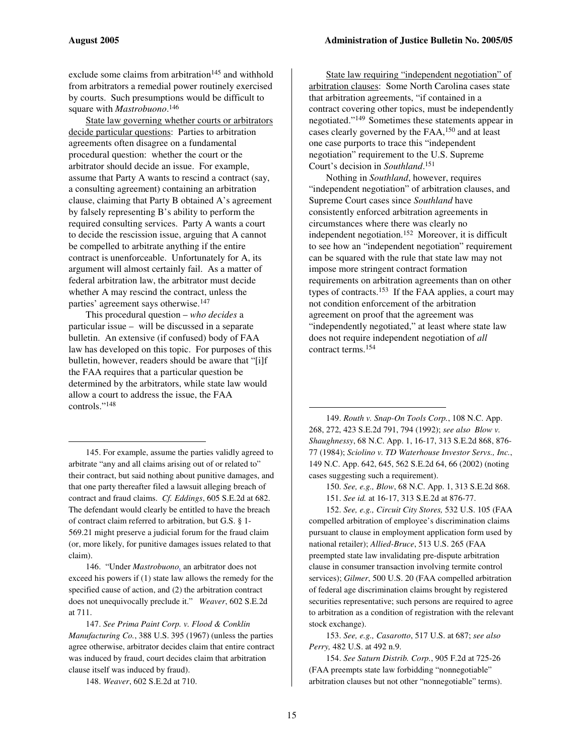exclude some claims from arbitration <sup>145</sup> and withhold from arbitrators a remedial power routinely exercised by courts. Such presumptions would be difficult to square with *Mastrobuono*. 146

State law governing whether courts or arbitrators decide particular questions: Parties to arbitration agreements often disagree on a fundamental procedural question: whether the court or the arbitrator should decide an issue. For example, assume that Party A wants to rescind a contract (say, a consulting agreement) containing an arbitration clause, claiming that Party B obtained A's agreement by falsely representing B's ability to perform the required consulting services. Party A wants a court to decide the rescission issue, arguing that A cannot be compelled to arbitrate anything if the entire contract is unenforceable. Unfortunately for A, its argument will almost certainly fail. As a matter of federal arbitration law, the arbitrator must decide whether A may rescind the contract, unless the parties' agreement says otherwise. 147

This procedural question – *who decides* a particular issue – will be discussed in a separate bulletin. An extensive (if confused) body of FAA law has developed on this topic. For purposes of this bulletin, however, readers should be aware that "[i]f the FAA requires that a particular question be determined by the arbitrators, while state law would allow a court to address the issue, the FAA controls." 148

145. For example, assume the parties validly agreed to arbitrate "any and all claims arising out of or related to" their contract, but said nothing about punitive damages, and that one party thereafter filed a lawsuit alleging breach of contract and fraud claims. *Cf. Eddings*, 605 S.E.2d at 682. The defendant would clearly be entitled to have the breach of contract claim referred to arbitration, but G.S. § 1- 569.21 might preserve a judicial forum for the fraud claim (or, more likely, for punitive damages issues related to that claim).

146. "Under *Mastrobuono,* an arbitrator does not exceed his powers if (1) state law allows the remedy for the specified cause of action, and (2) the arbitration contract does not unequivocally preclude it." *Weaver*, 602 S.E.2d at 711.

147. *See Prima Paint Corp. v. Flood & Conklin Manufacturing Co.*, 388 U.S. 395 (1967) (unless the parties agree otherwise, arbitrator decides claim that entire contract was induced by fraud, court decides claim that arbitration clause itself was induced by fraud).

148. *Weaver*, 602 S.E.2d at 710.

State law requiring "independent negotiation" of arbitration clauses: Some North Carolina cases state that arbitration agreements, "if contained in a contract covering other topics, must be independently negotiated." <sup>149</sup> Sometimes these statements appear in cases clearly governed by the FAA, <sup>150</sup> and at least one case purports to trace this "independent negotiation" requirement to the U.S. Supreme Court's decision in *Southland*. 151

Nothing in *Southland*, however, requires "independent negotiation" of arbitration clauses, and Supreme Court cases since *Southland* have consistently enforced arbitration agreements in circumstances where there was clearly no independent negotiation. <sup>152</sup> Moreover, it is difficult to see how an "independent negotiation" requirement can be squared with the rule that state law may not impose more stringent contract formation requirements on arbitration agreements than on other types of contracts.<sup>153</sup> If the FAA applies, a court may not condition enforcement of the arbitration agreement on proof that the agreement was "independently negotiated," at least where state law does not require independent negotiation of *all* contract terms. 154

149. *Routh v. Snap-On Tools Corp.*, 108 N.C. App. 268, 272, 423 S.E.2d 791, 794 (1992); *see also Blow v. Shaughnessy*, 68 N.C. App. 1, 16-17, 313 S.E.2d 868, 876- 77 (1984); *Sciolino v. TD Waterhouse Investor Servs., Inc.*, 149 N.C. App. 642, 645, 562 S.E.2d 64, 66 (2002) (noting cases suggesting such a requirement).

150. *See, e.g., Blow*, 68 N.C. App. 1, 313 S.E.2d 868.

151. *See id.* at 16-17, 313 S.E.2d at 876-77.

152. *See, e.g., Circuit City Stores,* 532 U.S. 105 (FAA compelled arbitration of employee's discrimination claims pursuant to clause in employment application form used by national retailer); *Allied-Bruce*, 513 U.S. 265 (FAA preempted state law invalidating pre-dispute arbitration clause in consumer transaction involving termite control services); *Gilmer*, 500 U.S. 20 (FAA compelled arbitration of federal age discrimination claims brought by registered securities representative; such persons are required to agree to arbitration as a condition of registration with the relevant stock exchange).

153. *See, e.g., Casarotto*, 517 U.S. at 687; *see also Perry,* 482 U.S. at 492 n.9.

154. *See Saturn Distrib. Corp.*, 905 F.2d at 725-26 (FAA preempts state law forbidding "nonnegotiable" arbitration clauses but not other "nonnegotiable" terms).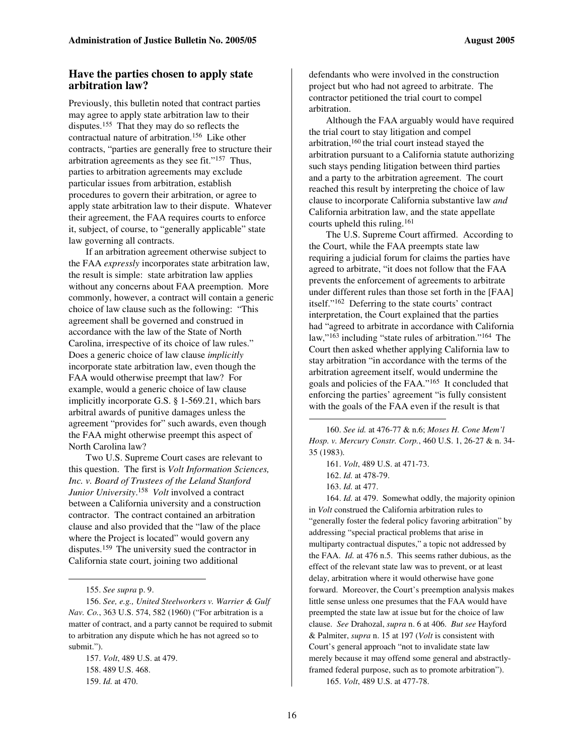#### **Have the parties chosen to apply state arbitration law?**

Previously, this bulletin noted that contract parties may agree to apply state arbitration law to their disputes. <sup>155</sup> That they may do so reflects the contractual nature of arbitration. <sup>156</sup> Like other contracts, "parties are generally free to structure their arbitration agreements as they see fit."<sup>157</sup> Thus, parties to arbitration agreements may exclude particular issues from arbitration, establish procedures to govern their arbitration, or agree to apply state arbitration law to their dispute. Whatever their agreement, the FAA requires courts to enforce it, subject, of course, to "generally applicable" state law governing all contracts.

If an arbitration agreement otherwise subject to the FAA *expressly* incorporates state arbitration law, the result is simple: state arbitration law applies without any concerns about FAA preemption. More commonly, however, a contract will contain a generic choice of law clause such as the following: "This agreement shall be governed and construed in accordance with the law of the State of North Carolina, irrespective of its choice of law rules." Does a generic choice of law clause *implicitly* incorporate state arbitration law, even though the FAA would otherwise preempt that law? For example, would a generic choice of law clause implicitly incorporate G.S. § 1-569.21, which bars arbitral awards of punitive damages unless the agreement "provides for" such awards, even though the FAA might otherwise preempt this aspect of North Carolina law?

Two U.S. Supreme Court cases are relevant to this question. The first is *Volt Information Sciences, Inc. v. Board of Trustees of the Leland Stanford Junior University*. <sup>158</sup> *Volt* involved a contract between a California university and a construction contractor. The contract contained an arbitration clause and also provided that the "law of the place where the Project is located" would govern any disputes. <sup>159</sup> The university sued the contractor in California state court, joining two additional

defendants who were involved in the construction project but who had not agreed to arbitrate. The contractor petitioned the trial court to compel arbitration.

Although the FAA arguably would have required the trial court to stay litigation and compel arbitration,<sup>160</sup> the trial court instead stayed the arbitration pursuant to a California statute authorizing such stays pending litigation between third parties and a party to the arbitration agreement. The court reached this result by interpreting the choice of law clause to incorporate California substantive law *and* California arbitration law, and the state appellate courts upheld this ruling. 161

The U.S. Supreme Court affirmed. According to the Court, while the FAA preempts state law requiring a judicial forum for claims the parties have agreed to arbitrate, "it does not follow that the FAA prevents the enforcement of agreements to arbitrate under different rules than those set forth in the [FAA] itself." <sup>162</sup> Deferring to the state courts' contract interpretation, the Court explained that the parties had "agreed to arbitrate in accordance with California law,"<sup>163</sup> including "state rules of arbitration."<sup>164</sup> The Court then asked whether applying California law to stay arbitration "in accordance with the terms of the arbitration agreement itself, would undermine the goals and policies of the FAA." 165 It concluded that enforcing the parties' agreement "is fully consistent with the goals of the FAA even if the result is that

160. *See id.* at 476-77 & n.6; *Moses H. Cone Mem'l Hosp. v. Mercury Constr. Corp.*, 460 U.S. 1, 26-27 & n. 34- 35 (1983).

164. *Id.* at 479. Somewhat oddly, the majority opinion in *Volt* construed the California arbitration rules to "generally foster the federal policy favoring arbitration" by addressing "special practical problems that arise in multiparty contractual disputes," a topic not addressed by the FAA. *Id.* at 476 n.5. This seems rather dubious, as the effect of the relevant state law was to prevent, or at least delay, arbitration where it would otherwise have gone forward. Moreover, the Court's preemption analysis makes little sense unless one presumes that the FAA would have preempted the state law at issue but for the choice of law clause. *See* Drahozal, *supra* n. 6 at 406. *But see* Hayford & Palmiter, *supra* n. 15 at 197 (*Volt* is consistent with Court's general approach "not to invalidate state law merely because it may offend some general and abstractlyframed federal purpose, such as to promote arbitration").

165. *Volt*, 489 U.S. at 477-78.

<sup>155.</sup> *See supra* p. 9.

<sup>156.</sup> *See, e.g., United Steelworkers v. Warrier & Gulf Nav. Co.*, 363 U.S. 574, 582 (1960) ("For arbitration is a matter of contract, and a party cannot be required to submit to arbitration any dispute which he has not agreed so to submit.").

<sup>157.</sup> *Volt*, 489 U.S. at 479. 158. 489 U.S. 468. 159. *Id.* at 470.

<sup>161.</sup> *Volt*, 489 U.S. at 471-73.

<sup>162.</sup> *Id.* at 478-79.

<sup>163.</sup> *Id.* at 477.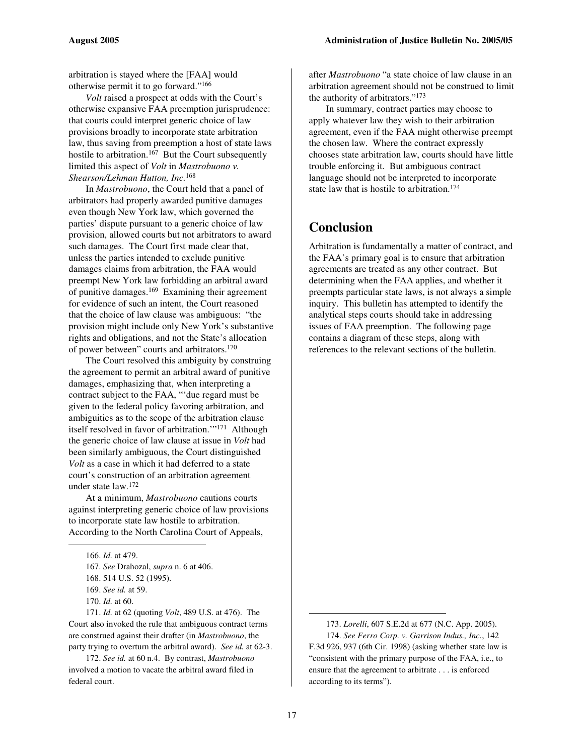arbitration is stayed where the [FAA] would otherwise permit it to go forward." 166

*Volt* raised a prospect at odds with the Court's otherwise expansive FAA preemption jurisprudence: that courts could interpret generic choice of law provisions broadly to incorporate state arbitration law, thus saving from preemption a host of state laws hostile to arbitration.<sup>167</sup> But the Court subsequently limited this aspect of *Volt* in *Mastrobuono v. Shearson/Lehman Hutton, Inc.* 168

In *Mastrobuono*, the Court held that a panel of arbitrators had properly awarded punitive damages even though New York law, which governed the parties' dispute pursuant to a generic choice of law provision, allowed courts but not arbitrators to award such damages. The Court first made clear that, unless the parties intended to exclude punitive damages claims from arbitration, the FAA would preempt New York law forbidding an arbitral award of punitive damages.<sup>169</sup> Examining their agreement for evidence of such an intent, the Court reasoned that the choice of law clause was ambiguous: "the provision might include only New York's substantive rights and obligations, and not the State's allocation of power between" courts and arbitrators.<sup>170</sup>

The Court resolved this ambiguity by construing the agreement to permit an arbitral award of punitive damages, emphasizing that, when interpreting a contract subject to the FAA, "'due regard must be given to the federal policy favoring arbitration, and ambiguities as to the scope of the arbitration clause itself resolved in favor of arbitration.'" <sup>171</sup> Although the generic choice of law clause at issue in *Volt* had been similarly ambiguous, the Court distinguished *Volt* as a case in which it had deferred to a state court's construction of an arbitration agreement under state law. 172

At a minimum, *Mastrobuono* cautions courts against interpreting generic choice of law provisions to incorporate state law hostile to arbitration. According to the North Carolina Court of Appeals,

171. *Id.* at 62 (quoting *Volt*, 489 U.S. at 476). The Court also invoked the rule that ambiguous contract terms are construed against their drafter (in *Mastrobuono*, the party trying to overturn the arbitral award). *See id.* at 62-3.

172. *See id.* at 60 n.4. By contrast, *Mastrobuono* involved a motion to vacate the arbitral award filed in federal court.

after *Mastrobuono* "a state choice of law clause in an arbitration agreement should not be construed to limit the authority of arbitrators." 173

In summary, contract parties may choose to apply whatever law they wish to their arbitration agreement, even if the FAA might otherwise preempt the chosen law. Where the contract expressly chooses state arbitration law, courts should have little trouble enforcing it. But ambiguous contract language should not be interpreted to incorporate state law that is hostile to arbitration. 174

# **Conclusion**

Arbitration is fundamentally a matter of contract, and the FAA's primary goal is to ensure that arbitration agreements are treated as any other contract. But determining when the FAA applies, and whether it preempts particular state laws, is not always a simple inquiry. This bulletin has attempted to identify the analytical steps courts should take in addressing issues of FAA preemption. The following page contains a diagram of these steps, along with references to the relevant sections of the bulletin.

<sup>166.</sup> *Id.* at 479.

<sup>167.</sup> *See* Drahozal, *supra* n. 6 at 406.

<sup>168.</sup> 514 U.S. 52 (1995).

<sup>169.</sup> *See id.* at 59.

<sup>170.</sup> *Id.* at 60.

<sup>173.</sup> *Lorelli*, 607 S.E.2d at 677 (N.C. App. 2005). 174. *See Ferro Corp. v. Garrison Indus., Inc.*, 142 F.3d 926, 937 (6th Cir. 1998) (asking whether state law is "consistent with the primary purpose of the FAA, i.e., to ensure that the agreement to arbitrate . . . is enforced according to its terms").